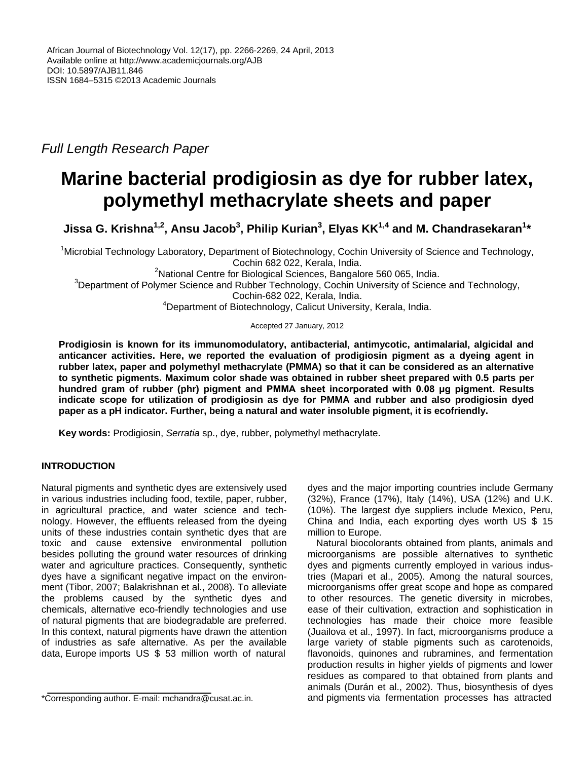*Full Length Research Paper*

# **Marine bacterial prodigiosin as dye for rubber latex, polymethyl methacrylate sheets and paper**

**Jissa G. Krishna1,2, Ansu Jacob<sup>3</sup> , Philip Kurian<sup>3</sup> , Elyas KK1,4 and M. Chandrasekaran<sup>1</sup> \***

<sup>1</sup>Microbial Technology Laboratory, Department of Biotechnology, Cochin University of Science and Technology, Cochin 682 022, Kerala, India.

 $2$ National Centre for Biological Sciences, Bangalore 560 065, India. <sup>3</sup>Department of Polymer Science and Rubber Technology, Cochin University of Science and Technology, Cochin-682 022, Kerala, India. <sup>4</sup>Department of Biotechnology, Calicut University, Kerala, India.

Accepted 27 January, 2012

**Prodigiosin is known for its immunomodulatory, antibacterial, antimycotic, antimalarial, algicidal and anticancer activities. Here, we reported the evaluation of prodigiosin pigment as a dyeing agent in rubber latex, paper and polymethyl methacrylate (PMMA) so that it can be considered as an alternative to synthetic pigments. Maximum color shade was obtained in rubber sheet prepared with 0.5 parts per hundred gram of rubber (phr) pigment and PMMA sheet incorporated with 0.08 μg pigment. Results indicate scope for utilization of prodigiosin as dye for PMMA and rubber and also prodigiosin dyed paper as a pH indicator. Further, being a natural and water insoluble pigment, it is ecofriendly.**

**Key words:** Prodigiosin, *Serratia* sp., dye, rubber, polymethyl methacrylate.

# **INTRODUCTION**

Natural pigments and synthetic dyes are extensively used in various industries including food, textile, paper, rubber, in agricultural practice, and water science and technology. However, the effluents released from the dyeing units of these industries contain synthetic dyes that are toxic and cause extensive environmental pollution besides polluting the ground water resources of drinking water and agriculture practices. Consequently, synthetic dyes have a significant negative impact on the environment (Tibor, 2007; Balakrishnan et al*.*, 2008). To alleviate the problems caused by the synthetic dyes and chemicals, alternative eco-friendly technologies and use of natural pigments that are biodegradable are preferred. In this context, natural pigments have drawn the attention of industries as safe alternative. As per the available data, Europe imports US \$ 53 million worth of natural

dyes and the major importing countries include Germany (32%), France (17%), Italy (14%), USA (12%) and U.K. (10%). The largest dye suppliers include Mexico, Peru, China and India, each exporting dyes worth US \$ 15 million to Europe.

Natural biocolorants obtained from plants, animals and microorganisms are possible alternatives to synthetic dyes and pigments currently employed in various industries (Mapari et al., 2005). Among the natural sources, microorganisms offer great scope and hope as compared to other resources. The genetic diversity in microbes, ease of their cultivation, extraction and sophistication in technologies has made their choice more feasible (Juailova et al., 1997). In fact, microorganisms produce a large variety of stable pigments such as carotenoids, flavonoids, quinones and rubramines, and fermentation production results in higher yields of pigments and lower residues as compared to that obtained from plants and animals (Durán et al., 2002). Thus, biosynthesis of dyes and pigments via fermentation processes has attracted

<sup>\*</sup>Corresponding author. E-mail: mchandra@cusat.ac.in.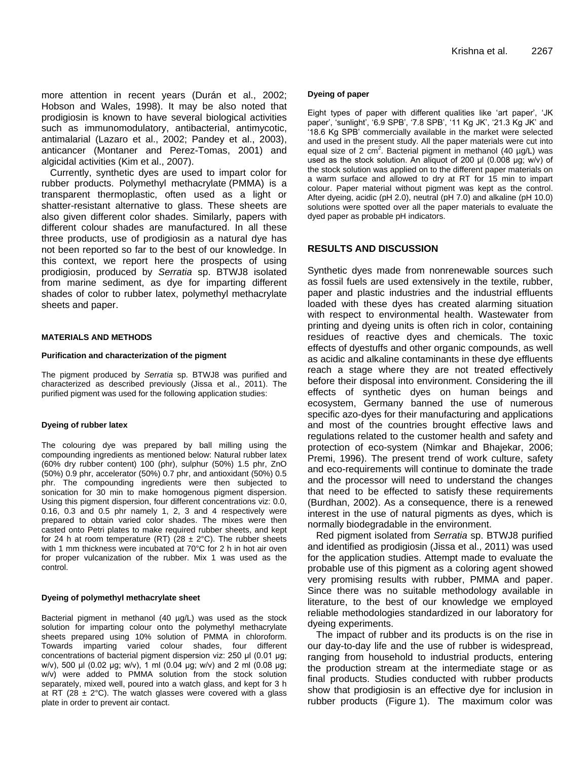more attention in recent years (Durán et al., 2002; Hobson and Wales, 1998). It may be also noted that prodigiosin is known to have several biological activities such as immunomodulatory, antibacterial, antimycotic, antimalarial (Lazaro et al., 2002; Pandey et al., 2003), anticancer (Montaner and Perez-Tomas, 2001) and algicidal activities (Kim et al., 2007).

Currently, synthetic dyes are used to impart color for rubber products. Polymethyl methacrylate (PMMA) is a transparent thermoplastic, often used as a light or shatter-resistant alternative to glass. These sheets are also given different color shades. Similarly, papers with different colour shades are manufactured. In all these three products, use of prodigiosin as a natural dye has not been reported so far to the best of our knowledge. In this context, we report here the prospects of using prodigiosin, produced by *Serratia* sp. BTWJ8 isolated from marine sediment, as dye for imparting different shades of color to rubber latex, polymethyl methacrylate sheets and paper.

#### **MATERIALS AND METHODS**

#### **Purification and characterization of the pigment**

The pigment produced by *Serratia* sp. BTWJ8 was purified and characterized as described previously (Jissa et al., 2011). The purified pigment was used for the following application studies:

#### **Dyeing of rubber latex**

The colouring dye was prepared by ball milling using the compounding ingredients as mentioned below: Natural rubber latex (60% dry rubber content) 100 (phr), sulphur (50%) 1.5 phr, ZnO (50%) 0.9 phr, accelerator (50%) 0.7 phr, and antioxidant (50%) 0.5 phr. The compounding ingredients were then subjected to sonication for 30 min to make homogenous pigment dispersion. Using this pigment dispersion, four different concentrations viz: 0.0, 0.16, 0.3 and 0.5 phr namely 1, 2, 3 and 4 respectively were prepared to obtain varied color shades. The mixes were then casted onto Petri plates to make required rubber sheets, and kept for 24 h at room temperature (RT) (28  $\pm$  2°C). The rubber sheets with 1 mm thickness were incubated at 70°C for 2 h in hot air oven for proper vulcanization of the rubber. Mix 1 was used as the control.

#### **Dyeing of polymethyl methacrylate sheet**

Bacterial pigment in methanol (40 µg/L) was used as the stock solution for imparting colour onto the polymethyl methacrylate sheets prepared using 10% solution of PMMA in chloroform. Towards imparting varied colour shades, four different concentrations of bacterial pigment dispersion viz: 250 μl (0.01 μg; w/v), 500 μl (0.02 μg; w/v), 1 ml (0.04 μg; w/v) and 2 ml (0.08 μg; w/v) were added to PMMA solution from the stock solution separately, mixed well, poured into a watch glass, and kept for 3 h at RT (28  $\pm$  2°C). The watch glasses were covered with a glass plate in order to prevent air contact.

#### **Dyeing of paper**

Eight types of paper with different qualities like 'art paper', 'JK paper', 'sunlight', '6.9 SPB', '7.8 SPB', '11 Kg JK', '21.3 Kg JK' and '18.6 Kg SPB' commercially available in the market were selected and used in the present study. All the paper materials were cut into equal size of 2  $cm<sup>2</sup>$ . Bacterial pigment in methanol (40  $\mu$ g/L) was used as the stock solution. An aliquot of 200 µl (0.008 μg; w/v) of the stock solution was applied on to the different paper materials on a warm surface and allowed to dry at RT for 15 min to impart colour. Paper material without pigment was kept as the control. After dyeing, acidic (pH 2.0), neutral (pH 7.0) and alkaline (pH 10.0) solutions were spotted over all the paper materials to evaluate the dyed paper as probable pH indicators.

### **RESULTS AND DISCUSSION**

Synthetic dyes made from nonrenewable sources such as fossil fuels are used extensively in the textile, rubber, paper and plastic industries and the industrial effluents loaded with these dyes has created alarming situation with respect to environmental health. Wastewater from printing and dyeing units is often rich in color, containing residues of reactive dyes and chemicals. The toxic effects of dyestuffs and other organic compounds, as well as acidic and alkaline contaminants in these dye effluents reach a stage where they are not treated effectively before their disposal into environment. Considering the ill effects of synthetic dyes on human beings and ecosystem, Germany banned the use of numerous specific azo-dyes for their manufacturing and applications and most of the countries brought effective laws and regulations related to the customer health and safety and protection of eco-system (Nimkar and Bhajekar, 2006; Premi, 1996). The present trend of work culture, safety and eco-requirements will continue to dominate the trade and the processor will need to understand the changes that need to be effected to satisfy these requirements (Burdhan, 2002). As a consequence, there is a renewed interest in the use of natural pigments as dyes, which is normally biodegradable in the environment.

Red pigment isolated from *Serratia* sp. BTWJ8 purified and identified as prodigiosin (Jissa et al., 2011) was used for the application studies. Attempt made to evaluate the probable use of this pigment as a coloring agent showed very promising results with rubber, PMMA and paper. Since there was no suitable methodology available in literature, to the best of our knowledge we employed reliable methodologies standardized in our laboratory for dyeing experiments.

The impact of rubber and its products is on the rise in our day-to-day life and the use of rubber is widespread, ranging from household to industrial products, entering the production stream at the intermediate stage or as final products. Studies conducted with rubber products show that prodigiosin is an effective dye for inclusion in rubber products (Figure 1). The maximum color was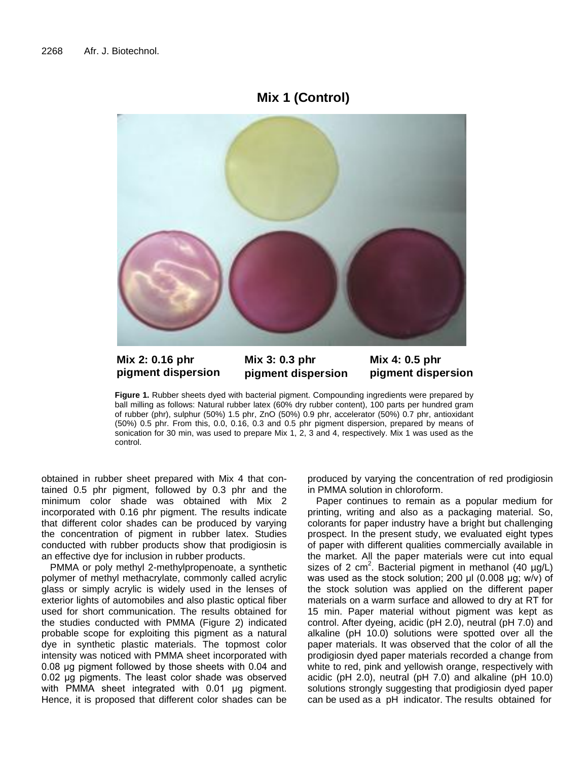# **Mix 1 (Control)**



**Mix 2: 0.16 phr pigment dispersion**

**Mix 3: 0.3 phr pigment dispersion** **Mix 4: 0.5 phr pigment dispersion**

**Figure 1.** Rubber sheets dyed with bacterial pigment. Compounding ingredients were prepared by ball milling as follows: Natural rubber latex (60% dry rubber content), 100 parts per hundred gram of rubber (phr), sulphur (50%) 1.5 phr, ZnO (50%) 0.9 phr, accelerator (50%) 0.7 phr, antioxidant (50%) 0.5 phr. From this, 0.0, 0.16, 0.3 and 0.5 phr pigment dispersion, prepared by means of sonication for 30 min, was used to prepare Mix 1, 2, 3 and 4, respectively. Mix 1 was used as the control.

obtained in rubber sheet prepared with Mix 4 that contained 0.5 phr pigment, followed by 0.3 phr and the minimum color shade was obtained with Mix 2 incorporated with 0.16 phr pigment. The results indicate that different color shades can be produced by varying the concentration of pigment in rubber latex. Studies conducted with rubber products show that prodigiosin is an effective dye for inclusion in rubber products.

PMMA or poly methyl 2-methylpropenoate, a synthetic polymer of methyl methacrylate, commonly called acrylic glass or simply acrylic is widely used in the lenses of exterior lights of automobiles and also plastic optical fiber used for short communication. The results obtained for the studies conducted with PMMA (Figure 2) indicated probable scope for exploiting this pigment as a natural dye in synthetic plastic materials. The topmost color intensity was noticed with PMMA sheet incorporated with 0.08 μg pigment followed by those sheets with 0.04 and 0.02 μg pigments. The least color shade was observed with PMMA sheet integrated with 0.01 μg pigment. Hence, it is proposed that different color shades can be produced by varying the concentration of red prodigiosin in PMMA solution in chloroform.

Paper continues to remain as a popular medium for printing, writing and also as a packaging material. So, colorants for paper industry have a bright but challenging prospect. In the present study, we evaluated eight types of paper with different qualities commercially available in the market. All the paper materials were cut into equal sizes of 2 cm<sup>2</sup>. Bacterial pigment in methanol (40  $\mu$ g/L) was used as the stock solution; 200 µl (0.008 μg; w/v) of the stock solution was applied on the different paper materials on a warm surface and allowed to dry at RT for 15 min. Paper material without pigment was kept as control. After dyeing, acidic (pH 2.0), neutral (pH 7.0) and alkaline (pH 10.0) solutions were spotted over all the paper materials. It was observed that the color of all the prodigiosin dyed paper materials recorded a change from white to red, pink and yellowish orange, respectively with acidic (pH 2.0), neutral (pH 7.0) and alkaline (pH 10.0) solutions strongly suggesting that prodigiosin dyed paper can be used as a pH indicator. The results obtained for